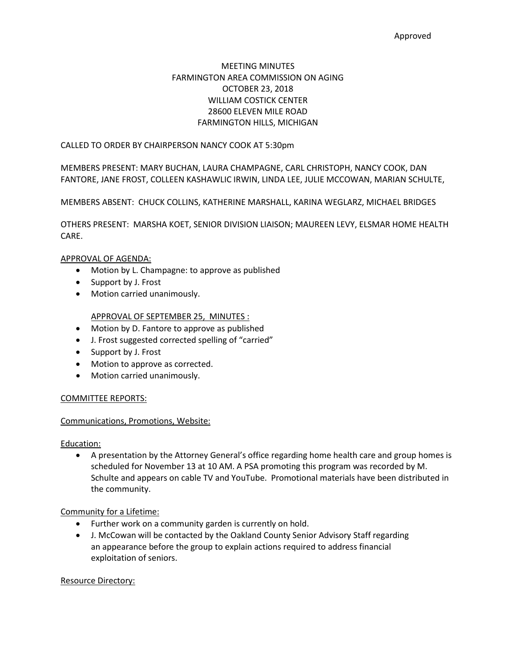# MEETING MINUTES FARMINGTON AREA COMMISSION ON AGING OCTOBER 23, 2018 WILLIAM COSTICK CENTER 28600 ELEVEN MILE ROAD FARMINGTON HILLS, MICHIGAN

## CALLED TO ORDER BY CHAIRPERSON NANCY COOK AT 5:30pm

MEMBERS PRESENT: MARY BUCHAN, LAURA CHAMPAGNE, CARL CHRISTOPH, NANCY COOK, DAN FANTORE, JANE FROST, COLLEEN KASHAWLIC IRWIN, LINDA LEE, JULIE MCCOWAN, MARIAN SCHULTE,

MEMBERS ABSENT: CHUCK COLLINS, KATHERINE MARSHALL, KARINA WEGLARZ, MICHAEL BRIDGES

OTHERS PRESENT: MARSHA KOET, SENIOR DIVISION LIAISON; MAUREEN LEVY, ELSMAR HOME HEALTH CARE.

### APPROVAL OF AGENDA:

- Motion by L. Champagne: to approve as published
- Support by J. Frost
- Motion carried unanimously.

## APPROVAL OF SEPTEMBER 25, MINUTES :

- Motion by D. Fantore to approve as published
- J. Frost suggested corrected spelling of "carried"
- Support by J. Frost
- Motion to approve as corrected.
- Motion carried unanimously.

## COMMITTEE REPORTS:

### Communications, Promotions, Website:

Education:

• A presentation by the Attorney General's office regarding home health care and group homes is scheduled for November 13 at 10 AM. A PSA promoting this program was recorded by M. Schulte and appears on cable TV and YouTube. Promotional materials have been distributed in the community.

Community for a Lifetime:

- Further work on a community garden is currently on hold.
- J. McCowan will be contacted by the Oakland County Senior Advisory Staff regarding an appearance before the group to explain actions required to address financial exploitation of seniors.

#### Resource Directory: